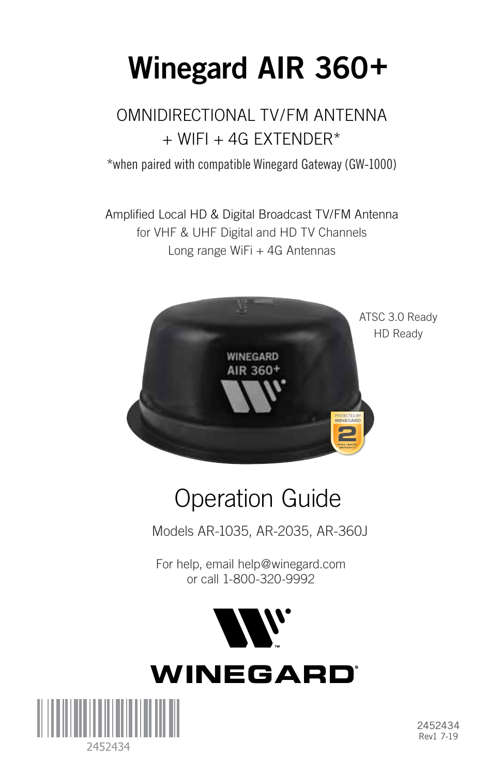# **Winegard AIR 360+**

### OMNIDIRECTIONAL TV/FM ANTENNA  $+$  WIFI  $+$  4G EXTENDER\*

\*when paired with compatible Winegard Gateway (GW-1000)

Amplified Local HD & Digital Broadcast TV/FM Antenna for VHF & UHF Digital and HD TV Channels Long range WiFi + 4G Antennas



## Operation Guide

Models AR-1035, AR-2035, AR-360J

For help, email help@winegard.com or call 1-800-320-9992



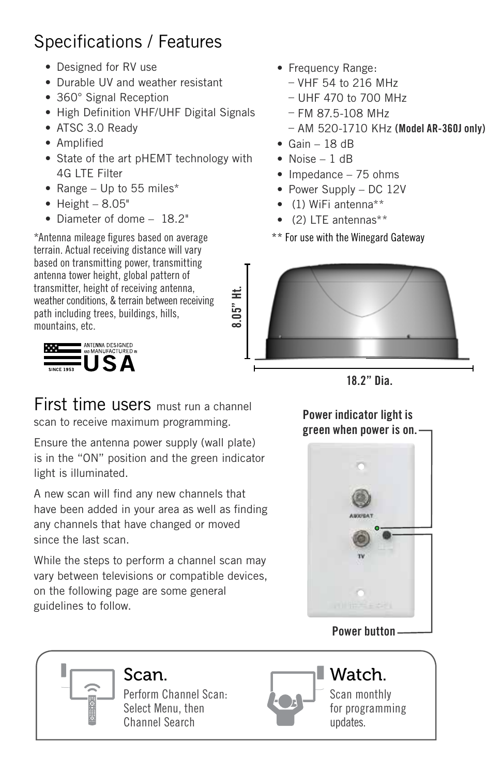### Specifications / Features

- Designed for RV use
- Durable UV and weather resistant
- 360° Signal Reception
- High Definition VHF/UHF Digital Signals
- ATSC 3.0 Ready
- Amplified
- State of the art pHEMT technology with 4G LTE Filter
- Range Up to 55 miles\*
- $\bullet$  Height  $8.05"$
- Diameter of dome 18.2"

\*Antenna mileage figures based on average terrain. Actual receiving distance will vary based on transmitting power, transmitting antenna tower height, global pattern of transmitter, height of receiving antenna, weather conditions, & terrain between receiving path including trees, buildings, hills, mountains, etc.



First time users must run a channel scan to receive maximum programming.

Ensure the antenna power supply (wall plate) is in the "ON" position and the green indicator light is illuminated.

have been added in your area as well as finding any channels that have changed or moved A new scan will find any new channels that since the last scan.

While the steps to perform a channel scan may vary between televisions or compatible devices, For section conditions of comparison. guidelines to follow.

- Frequency Range:
	- VHF 54 to 216 MHz
	- UHF 470 to 700 MHz
	- FM 87.5-108 MHz
	- AM 520-1710 KHz **(Model AR-360J only)**
- $\bullet$  Gain 18 dB
- Noise 1 dB
- Impedance 75 ohms
- Power Supply DC 12V
- (1) WiFi antenna\*\*
- (2) LTE antennas\*\*
- \*\* For use with the Winegard Gateway





#### **Power indicator light is green when power is on.**



#### **Power button**

## Perform Channel Scan:

Select Menu, then Channel Search



Scan monthly for programming updates.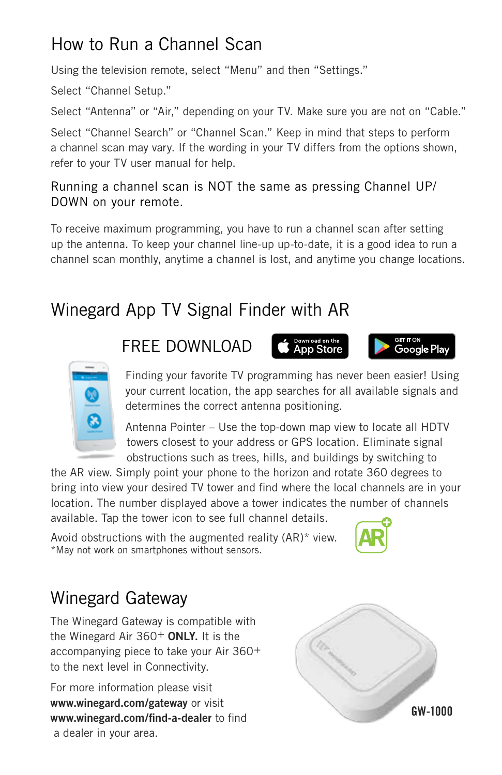### How to Run a Channel Scan

Using the television remote, select "Menu" and then "Settings."

Select "Channel Setup."

Select "Antenna" or "Air," depending on your TV. Make sure you are not on "Cable."

Select "Channel Search" or "Channel Scan." Keep in mind that steps to perform a channel scan may vary. If the wording in your TV differs from the options shown, refer to your TV user manual for help.

#### Running a channel scan is NOT the same as pressing Channel UP/ DOWN on your remote.

To receive maximum programming, you have to run a channel scan after setting up the antenna. To keep your channel line-up up-to-date, it is a good idea to run a channel scan monthly, anytime a channel is lost, and anytime you change locations.

### Winegard App TV Signal Finder with AR

#### FREE DOWNLOAD







Antenna Pointer – Use the top-down map view to locate all HDTV towers closest to your address or GPS location. Eliminate signal obstructions such as trees, hills, and buildings by switching to

the AR view. Simply point your phone to the horizon and rotate 360 degrees to bring into view your desired TV tower and find where the local channels are in your location. The number displayed above a tower indicates the number of channels available. Tap the tower icon to see full channel details.

Avoid obstructions with the augmented reality (AR)\* view. \*May not work on smartphones without sensors.



### Winegard Gateway

The Winegard Gateway is compatible with the Winegard Air 360+ **ONLY.** It is the accompanying piece to take your Air 360+ to the next level in Connectivity.

For more information please visit **www.winegard.com/gateway** or visit **www.winegard.com/find-a-dealer** to find a dealer in your area.